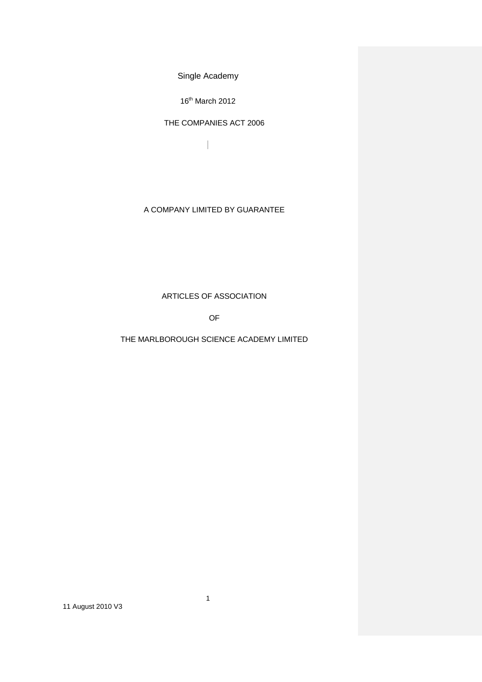16<sup>th</sup> March 2012

 $\overline{\phantom{a}}$ 

THE COMPANIES ACT 2006

A COMPANY LIMITED BY GUARANTEE

ARTICLES OF ASSOCIATION

OF

THE MARLBOROUGH SCIENCE ACADEMY LIMITED

1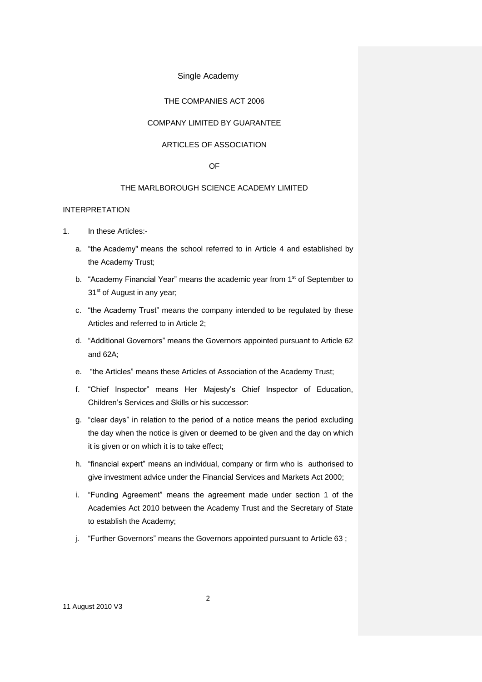# THE COMPANIES ACT 2006

# COMPANY LIMITED BY GUARANTEE

# ARTICLES OF ASSOCIATION

#### OF

# THE MARLBOROUGH SCIENCE ACADEMY LIMITED

# INTERPRETATION

- 1. In these Articles:
	- a. "the Academy" means the school referred to in Article 4 and established by the Academy Trust;
	- b. "Academy Financial Year" means the academic year from 1<sup>st</sup> of September to 31<sup>st</sup> of August in any year;
	- c. "the Academy Trust" means the company intended to be regulated by these Articles and referred to in Article 2;
	- d. "Additional Governors" means the Governors appointed pursuant to Article 62 and 62A;
	- e. "the Articles" means these Articles of Association of the Academy Trust;
	- f. "Chief Inspector" means Her Majesty's Chief Inspector of Education, Children's Services and Skills or his successor:
	- g. "clear days" in relation to the period of a notice means the period excluding the day when the notice is given or deemed to be given and the day on which it is given or on which it is to take effect;
	- h. "financial expert" means an individual, company or firm who is authorised to give investment advice under the Financial Services and Markets Act 2000;
	- i. "Funding Agreement" means the agreement made under section 1 of the Academies Act 2010 between the Academy Trust and the Secretary of State to establish the Academy;
	- j. "Further Governors" means the Governors appointed pursuant to Article 63 ;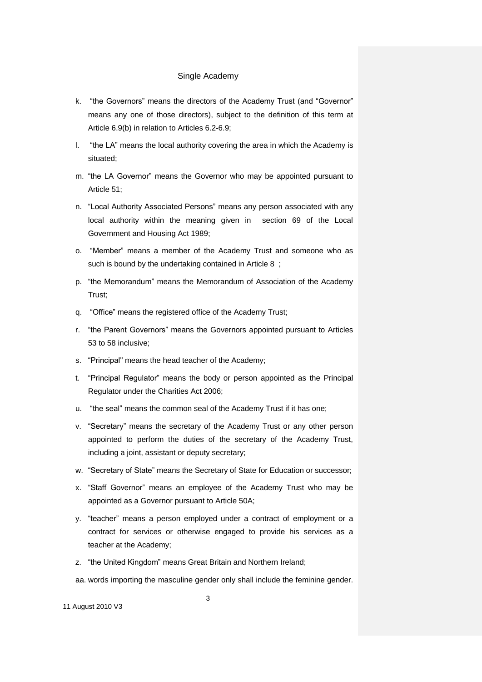- k. "the Governors" means the directors of the Academy Trust (and "Governor" means any one of those directors), subject to the definition of this term at Article 6.9(b) in relation to Articles 6.2-6.9;
- l. "the LA" means the local authority covering the area in which the Academy is situated;
- m. "the LA Governor" means the Governor who may be appointed pursuant to Article 51;
- n. "Local Authority Associated Persons" means any person associated with any local authority within the meaning given in section 69 of the Local Government and Housing Act 1989;
- o. "Member" means a member of the Academy Trust and someone who as such is bound by the undertaking contained in Article 8 ;
- p. "the Memorandum" means the Memorandum of Association of the Academy Trust;
- q. "Office" means the registered office of the Academy Trust;
- r. "the Parent Governors" means the Governors appointed pursuant to Articles 53 to 58 inclusive;
- s. "Principal" means the head teacher of the Academy;
- t. "Principal Regulator" means the body or person appointed as the Principal Regulator under the Charities Act 2006;
- u. "the seal" means the common seal of the Academy Trust if it has one;
- v. "Secretary" means the secretary of the Academy Trust or any other person appointed to perform the duties of the secretary of the Academy Trust, including a joint, assistant or deputy secretary;
- w. "Secretary of State" means the Secretary of State for Education or successor;
- x. "Staff Governor" means an employee of the Academy Trust who may be appointed as a Governor pursuant to Article 50A;
- y. "teacher" means a person employed under a contract of employment or a contract for services or otherwise engaged to provide his services as a teacher at the Academy;
- z. "the United Kingdom" means Great Britain and Northern Ireland;

aa. words importing the masculine gender only shall include the feminine gender.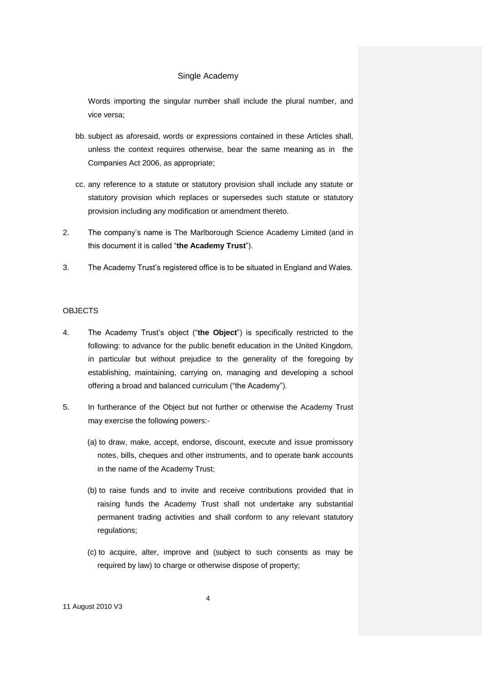Words importing the singular number shall include the plural number, and vice versa;

- bb. subject as aforesaid, words or expressions contained in these Articles shall, unless the context requires otherwise, bear the same meaning as in the Companies Act 2006, as appropriate;
- cc. any reference to a statute or statutory provision shall include any statute or statutory provision which replaces or supersedes such statute or statutory provision including any modification or amendment thereto.
- 2. The company's name is The Marlborough Science Academy Limited (and in this document it is called "**the Academy Trust**").
- 3. The Academy Trust's registered office is to be situated in England and Wales.

# **OBJECTS**

- 4. The Academy Trust's object ("**the Object**") is specifically restricted to the following: to advance for the public benefit education in the United Kingdom, in particular but without prejudice to the generality of the foregoing by establishing, maintaining, carrying on, managing and developing a school offering a broad and balanced curriculum ("the Academy").
- 5. In furtherance of the Object but not further or otherwise the Academy Trust may exercise the following powers:-
	- (a) to draw, make, accept, endorse, discount, execute and issue promissory notes, bills, cheques and other instruments, and to operate bank accounts in the name of the Academy Trust;
	- (b) to raise funds and to invite and receive contributions provided that in raising funds the Academy Trust shall not undertake any substantial permanent trading activities and shall conform to any relevant statutory regulations;
	- (c) to acquire, alter, improve and (subject to such consents as may be required by law) to charge or otherwise dispose of property;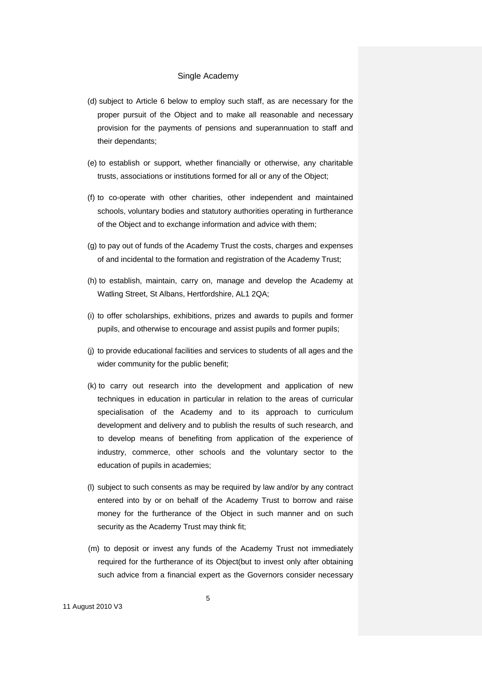- (d) subject to Article 6 below to employ such staff, as are necessary for the proper pursuit of the Object and to make all reasonable and necessary provision for the payments of pensions and superannuation to staff and their dependants;
- (e) to establish or support, whether financially or otherwise, any charitable trusts, associations or institutions formed for all or any of the Object;
- (f) to co-operate with other charities, other independent and maintained schools, voluntary bodies and statutory authorities operating in furtherance of the Object and to exchange information and advice with them;
- (g) to pay out of funds of the Academy Trust the costs, charges and expenses of and incidental to the formation and registration of the Academy Trust;
- (h) to establish, maintain, carry on, manage and develop the Academy at Watling Street, St Albans, Hertfordshire, AL1 2QA;
- (i) to offer scholarships, exhibitions, prizes and awards to pupils and former pupils, and otherwise to encourage and assist pupils and former pupils;
- (j) to provide educational facilities and services to students of all ages and the wider community for the public benefit;
- (k) to carry out research into the development and application of new techniques in education in particular in relation to the areas of curricular specialisation of the Academy and to its approach to curriculum development and delivery and to publish the results of such research, and to develop means of benefiting from application of the experience of industry, commerce, other schools and the voluntary sector to the education of pupils in academies;
- (l) subject to such consents as may be required by law and/or by any contract entered into by or on behalf of the Academy Trust to borrow and raise money for the furtherance of the Object in such manner and on such security as the Academy Trust may think fit;
- (m) to deposit or invest any funds of the Academy Trust not immediately required for the furtherance of its Object(but to invest only after obtaining such advice from a financial expert as the Governors consider necessary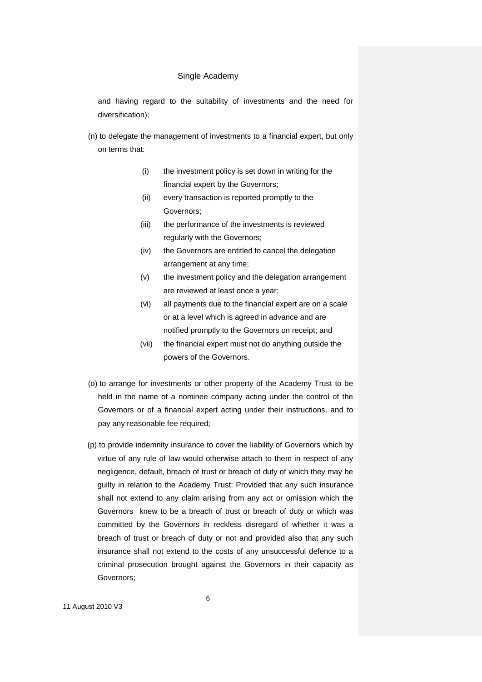and having regard to the suitability of investments and the need for diversification);

- (n) to delegate the management of investments to a financial expert, but only on terms that:
	- (i) the investment policy is set down in writing for the financial expert by the Governors;
	- (ii) every transaction is reported promptly to the Governors;
	- (iii) the performance of the investments is reviewed regularly with the Governors;
	- (iv) the Governors are entitled to cancel the delegation arrangement at any time;
	- (v) the investment policy and the delegation arrangement are reviewed at least once a year;
	- (vi) all payments due to the financial expert are on a scale or at a level which is agreed in advance and are notified promptly to the Governors on receipt; and
	- (vii) the financial expert must not do anything outside the powers of the Governors.
- (o) to arrange for investments or other property of the Academy Trust to be held in the name of a nominee company acting under the control of the Governors or of a financial expert acting under their instructions, and to pay any reasonable fee required;
- (p) to provide indemnity insurance to cover the liability of Governors which by virtue of any rule of law would otherwise attach to them in respect of any negligence, default, breach of trust or breach of duty of which they may be guilty in relation to the Academy Trust: Provided that any such insurance shall not extend to any claim arising from any act or omission which the Governors knew to be a breach of trust or breach of duty or which was committed by the Governors in reckless disregard of whether it was a breach of trust or breach of duty or not and provided also that any such insurance shall not extend to the costs of any unsuccessful defence to a criminal prosecution brought against the Governors in their capacity as Governors;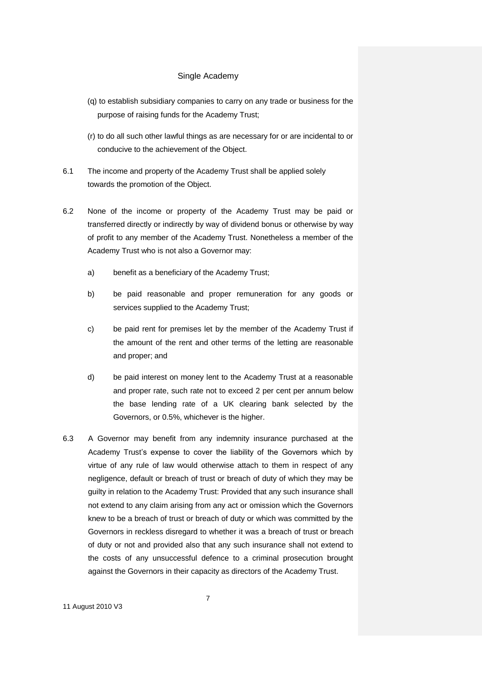- (q) to establish subsidiary companies to carry on any trade or business for the purpose of raising funds for the Academy Trust;
- (r) to do all such other lawful things as are necessary for or are incidental to or conducive to the achievement of the Object.
- 6.1 The income and property of the Academy Trust shall be applied solely towards the promotion of the Object.
- 6.2 None of the income or property of the Academy Trust may be paid or transferred directly or indirectly by way of dividend bonus or otherwise by way of profit to any member of the Academy Trust. Nonetheless a member of the Academy Trust who is not also a Governor may:
	- a) benefit as a beneficiary of the Academy Trust;
	- b) be paid reasonable and proper remuneration for any goods or services supplied to the Academy Trust;
	- c) be paid rent for premises let by the member of the Academy Trust if the amount of the rent and other terms of the letting are reasonable and proper; and
	- d) be paid interest on money lent to the Academy Trust at a reasonable and proper rate, such rate not to exceed 2 per cent per annum below the base lending rate of a UK clearing bank selected by the Governors, or 0.5%, whichever is the higher.
- 6.3 A Governor may benefit from any indemnity insurance purchased at the Academy Trust's expense to cover the liability of the Governors which by virtue of any rule of law would otherwise attach to them in respect of any negligence, default or breach of trust or breach of duty of which they may be guilty in relation to the Academy Trust: Provided that any such insurance shall not extend to any claim arising from any act or omission which the Governors knew to be a breach of trust or breach of duty or which was committed by the Governors in reckless disregard to whether it was a breach of trust or breach of duty or not and provided also that any such insurance shall not extend to the costs of any unsuccessful defence to a criminal prosecution brought against the Governors in their capacity as directors of the Academy Trust.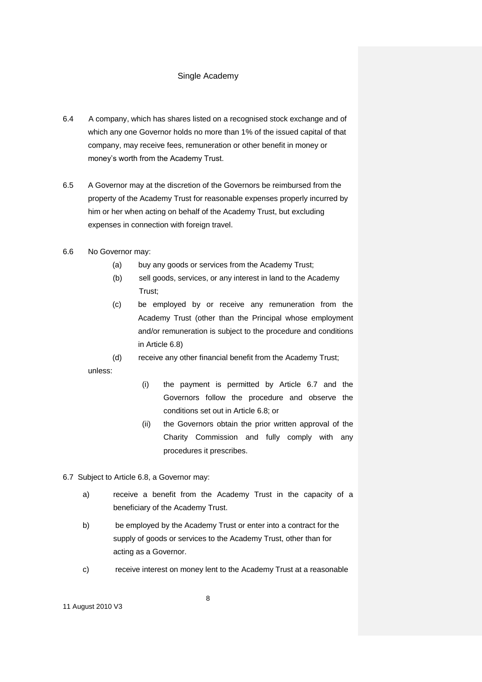- 6.4 A company, which has shares listed on a recognised stock exchange and of which any one Governor holds no more than 1% of the issued capital of that company, may receive fees, remuneration or other benefit in money or money's worth from the Academy Trust.
- 6.5 A Governor may at the discretion of the Governors be reimbursed from the property of the Academy Trust for reasonable expenses properly incurred by him or her when acting on behalf of the Academy Trust, but excluding expenses in connection with foreign travel.

# 6.6 No Governor may:

- (a) buy any goods or services from the Academy Trust;
- (b) sell goods, services, or any interest in land to the Academy Trust;
- (c) be employed by or receive any remuneration from the Academy Trust (other than the Principal whose employment and/or remuneration is subject to the procedure and conditions in Article 6.8)

(d) receive any other financial benefit from the Academy Trust; unless:

- (i) the payment is permitted by Article 6.7 and the Governors follow the procedure and observe the conditions set out in Article 6.8; or
- (ii) the Governors obtain the prior written approval of the Charity Commission and fully comply with any procedures it prescribes.
- 6.7 Subject to Article 6.8, a Governor may:
	- a) receive a benefit from the Academy Trust in the capacity of a beneficiary of the Academy Trust.
	- b) be employed by the Academy Trust or enter into a contract for the supply of goods or services to the Academy Trust, other than for acting as a Governor.
	- c) receive interest on money lent to the Academy Trust at a reasonable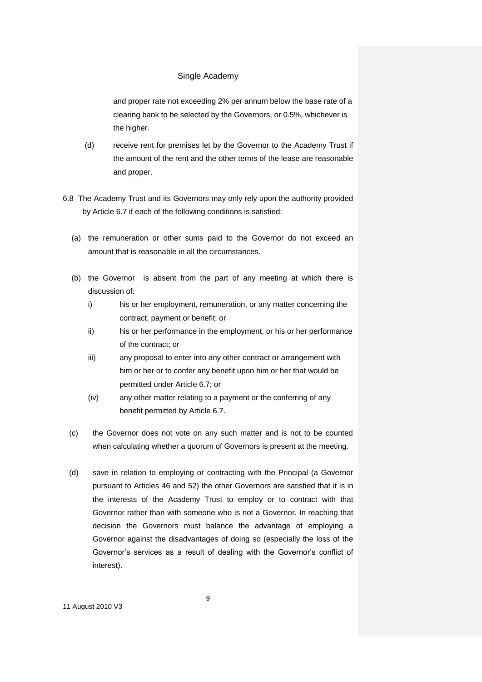and proper rate not exceeding 2% per annum below the base rate of a clearing bank to be selected by the Governors, or 0.5%, whichever is the higher.

- (d) receive rent for premises let by the Governor to the Academy Trust if the amount of the rent and the other terms of the lease are reasonable and proper.
- 6.8 The Academy Trust and its Governors may only rely upon the authority provided by Article 6.7 if each of the following conditions is satisfied:
	- (a) the remuneration or other sums paid to the Governor do not exceed an amount that is reasonable in all the circumstances.
	- (b) the Governor is absent from the part of any meeting at which there is discussion of:
		- i) his or her employment, remuneration, or any matter concerning the contract, payment or benefit; or
		- ii) his or her performance in the employment, or his or her performance of the contract; or
		- iii) any proposal to enter into any other contract or arrangement with him or her or to confer any benefit upon him or her that would be permitted under Article 6.7; or
		- (iv) any other matter relating to a payment or the conferring of any benefit permitted by Article 6.7.
	- (c) the Governor does not vote on any such matter and is not to be counted when calculating whether a quorum of Governors is present at the meeting.
	- (d) save in relation to employing or contracting with the Principal (a Governor pursuant to Articles 46 and 52) the other Governors are satisfied that it is in the interests of the Academy Trust to employ or to contract with that Governor rather than with someone who is not a Governor. In reaching that decision the Governors must balance the advantage of employing a Governor against the disadvantages of doing so (especially the loss of the Governor's services as a result of dealing with the Governor's conflict of interest).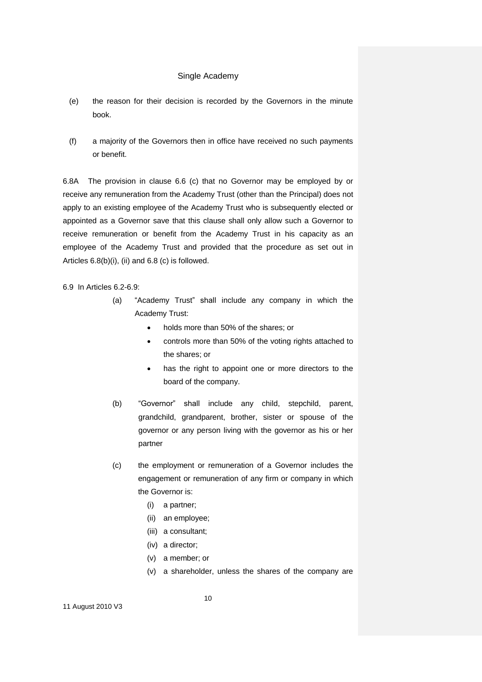- (e) the reason for their decision is recorded by the Governors in the minute book.
- (f) a majority of the Governors then in office have received no such payments or benefit.

6.8A The provision in clause 6.6 (c) that no Governor may be employed by or receive any remuneration from the Academy Trust (other than the Principal) does not apply to an existing employee of the Academy Trust who is subsequently elected or appointed as a Governor save that this clause shall only allow such a Governor to receive remuneration or benefit from the Academy Trust in his capacity as an employee of the Academy Trust and provided that the procedure as set out in Articles 6.8(b)(i), (ii) and 6.8 (c) is followed.

6.9 In Articles 6.2-6.9:

- (a) "Academy Trust" shall include any company in which the Academy Trust:
	- holds more than 50% of the shares; or
	- controls more than 50% of the voting rights attached to the shares; or
	- has the right to appoint one or more directors to the board of the company.
- (b) "Governor" shall include any child, stepchild, parent, grandchild, grandparent, brother, sister or spouse of the governor or any person living with the governor as his or her partner
- (c) the employment or remuneration of a Governor includes the engagement or remuneration of any firm or company in which the Governor is:
	- (i) a partner;
	- (ii) an employee;
	- (iii) a consultant;
	- (iv) a director;
	- (v) a member; or
	- (v) a shareholder, unless the shares of the company are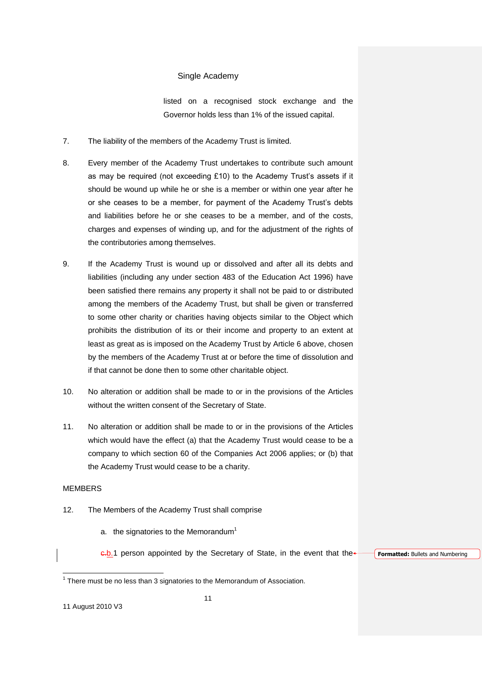listed on a recognised stock exchange and the Governor holds less than 1% of the issued capital.

- 7. The liability of the members of the Academy Trust is limited.
- 8. Every member of the Academy Trust undertakes to contribute such amount as may be required (not exceeding £10) to the Academy Trust's assets if it should be wound up while he or she is a member or within one year after he or she ceases to be a member, for payment of the Academy Trust's debts and liabilities before he or she ceases to be a member, and of the costs, charges and expenses of winding up, and for the adjustment of the rights of the contributories among themselves.
- 9. If the Academy Trust is wound up or dissolved and after all its debts and liabilities (including any under section 483 of the Education Act 1996) have been satisfied there remains any property it shall not be paid to or distributed among the members of the Academy Trust, but shall be given or transferred to some other charity or charities having objects similar to the Object which prohibits the distribution of its or their income and property to an extent at least as great as is imposed on the Academy Trust by Article 6 above, chosen by the members of the Academy Trust at or before the time of dissolution and if that cannot be done then to some other charitable object.
- 10. No alteration or addition shall be made to or in the provisions of the Articles without the written consent of the Secretary of State.
- 11. No alteration or addition shall be made to or in the provisions of the Articles which would have the effect (a) that the Academy Trust would cease to be a company to which section 60 of the Companies Act 2006 applies; or (b) that the Academy Trust would cease to be a charity.

#### MEMBERS

 $\overline{a}$ 

- 12. The Members of the Academy Trust shall comprise
	- a. the signatories to the Memorandum<sup>1</sup>

e.b.1 person appointed by the Secretary of State, in the event that the

**Formatted:** Bullets and Numbering

 $1$  There must be no less than 3 signatories to the Memorandum of Association.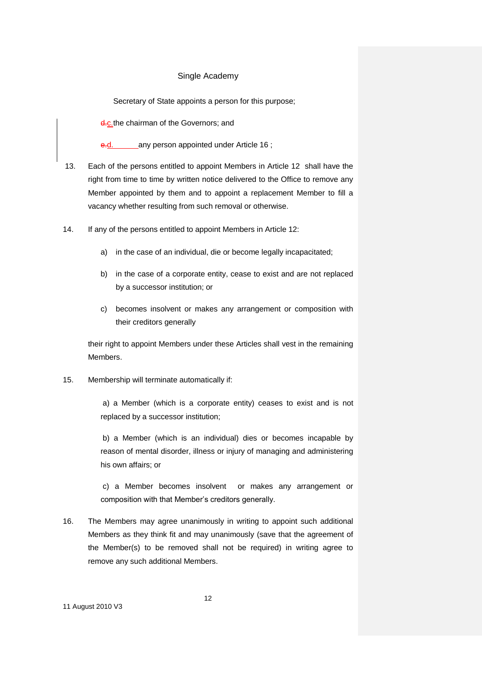Secretary of State appoints a person for this purpose;

**d.c.the chairman of the Governors; and** 

any person appointed under Article 16;

- 13. Each of the persons entitled to appoint Members in Article 12 shall have the right from time to time by written notice delivered to the Office to remove any Member appointed by them and to appoint a replacement Member to fill a vacancy whether resulting from such removal or otherwise.
- 14. If any of the persons entitled to appoint Members in Article 12:
	- a) in the case of an individual, die or become legally incapacitated;
	- b) in the case of a corporate entity, cease to exist and are not replaced by a successor institution; or
	- c) becomes insolvent or makes any arrangement or composition with their creditors generally

their right to appoint Members under these Articles shall vest in the remaining Members.

15. Membership will terminate automatically if:

a) a Member (which is a corporate entity) ceases to exist and is not replaced by a successor institution;

b) a Member (which is an individual) dies or becomes incapable by reason of mental disorder, illness or injury of managing and administering his own affairs; or

c) a Member becomes insolvent or makes any arrangement or composition with that Member's creditors generally.

16. The Members may agree unanimously in writing to appoint such additional Members as they think fit and may unanimously (save that the agreement of the Member(s) to be removed shall not be required) in writing agree to remove any such additional Members.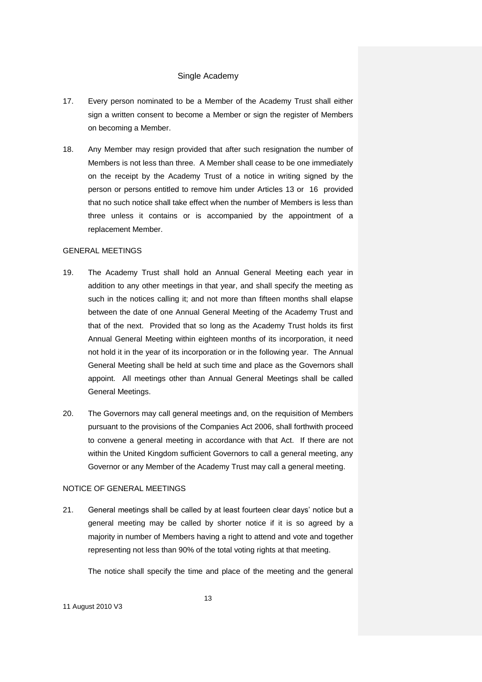- 17. Every person nominated to be a Member of the Academy Trust shall either sign a written consent to become a Member or sign the register of Members on becoming a Member.
- 18. Any Member may resign provided that after such resignation the number of Members is not less than three. A Member shall cease to be one immediately on the receipt by the Academy Trust of a notice in writing signed by the person or persons entitled to remove him under Articles 13 or 16 provided that no such notice shall take effect when the number of Members is less than three unless it contains or is accompanied by the appointment of a replacement Member.

### GENERAL MEETINGS

- 19. The Academy Trust shall hold an Annual General Meeting each year in addition to any other meetings in that year, and shall specify the meeting as such in the notices calling it; and not more than fifteen months shall elapse between the date of one Annual General Meeting of the Academy Trust and that of the next. Provided that so long as the Academy Trust holds its first Annual General Meeting within eighteen months of its incorporation, it need not hold it in the year of its incorporation or in the following year. The Annual General Meeting shall be held at such time and place as the Governors shall appoint. All meetings other than Annual General Meetings shall be called General Meetings.
- 20. The Governors may call general meetings and, on the requisition of Members pursuant to the provisions of the Companies Act 2006, shall forthwith proceed to convene a general meeting in accordance with that Act. If there are not within the United Kingdom sufficient Governors to call a general meeting, any Governor or any Member of the Academy Trust may call a general meeting.

#### NOTICE OF GENERAL MEETINGS

21. General meetings shall be called by at least fourteen clear days' notice but a general meeting may be called by shorter notice if it is so agreed by a majority in number of Members having a right to attend and vote and together representing not less than 90% of the total voting rights at that meeting.

The notice shall specify the time and place of the meeting and the general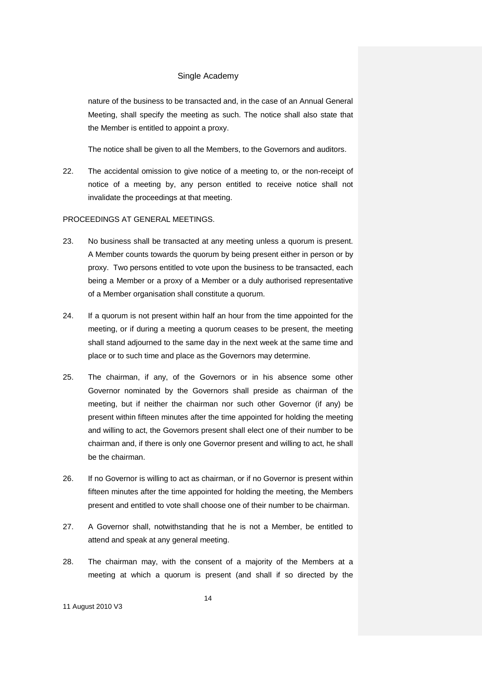nature of the business to be transacted and, in the case of an Annual General Meeting, shall specify the meeting as such. The notice shall also state that the Member is entitled to appoint a proxy.

The notice shall be given to all the Members, to the Governors and auditors.

22. The accidental omission to give notice of a meeting to, or the non-receipt of notice of a meeting by, any person entitled to receive notice shall not invalidate the proceedings at that meeting.

# PROCEEDINGS AT GENERAL MEETINGS.

- 23. No business shall be transacted at any meeting unless a quorum is present. A Member counts towards the quorum by being present either in person or by proxy. Two persons entitled to vote upon the business to be transacted, each being a Member or a proxy of a Member or a duly authorised representative of a Member organisation shall constitute a quorum.
- 24. If a quorum is not present within half an hour from the time appointed for the meeting, or if during a meeting a quorum ceases to be present, the meeting shall stand adjourned to the same day in the next week at the same time and place or to such time and place as the Governors may determine.
- 25. The chairman, if any, of the Governors or in his absence some other Governor nominated by the Governors shall preside as chairman of the meeting, but if neither the chairman nor such other Governor (if any) be present within fifteen minutes after the time appointed for holding the meeting and willing to act, the Governors present shall elect one of their number to be chairman and, if there is only one Governor present and willing to act, he shall be the chairman.
- 26. If no Governor is willing to act as chairman, or if no Governor is present within fifteen minutes after the time appointed for holding the meeting, the Members present and entitled to vote shall choose one of their number to be chairman.
- 27. A Governor shall, notwithstanding that he is not a Member, be entitled to attend and speak at any general meeting.
- 28. The chairman may, with the consent of a majority of the Members at a meeting at which a quorum is present (and shall if so directed by the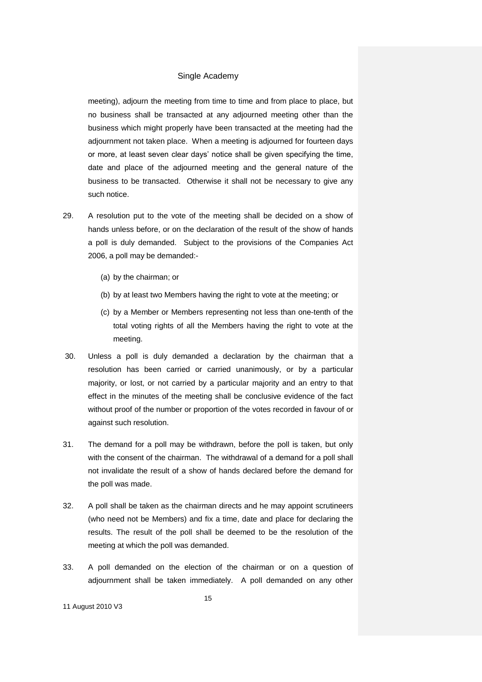meeting), adjourn the meeting from time to time and from place to place, but no business shall be transacted at any adjourned meeting other than the business which might properly have been transacted at the meeting had the adjournment not taken place. When a meeting is adjourned for fourteen days or more, at least seven clear days' notice shall be given specifying the time, date and place of the adjourned meeting and the general nature of the business to be transacted. Otherwise it shall not be necessary to give any such notice.

- 29. A resolution put to the vote of the meeting shall be decided on a show of hands unless before, or on the declaration of the result of the show of hands a poll is duly demanded. Subject to the provisions of the Companies Act 2006, a poll may be demanded:-
	- (a) by the chairman; or
	- (b) by at least two Members having the right to vote at the meeting; or
	- (c) by a Member or Members representing not less than one-tenth of the total voting rights of all the Members having the right to vote at the meeting.
- 30. Unless a poll is duly demanded a declaration by the chairman that a resolution has been carried or carried unanimously, or by a particular majority, or lost, or not carried by a particular majority and an entry to that effect in the minutes of the meeting shall be conclusive evidence of the fact without proof of the number or proportion of the votes recorded in favour of or against such resolution.
- 31. The demand for a poll may be withdrawn, before the poll is taken, but only with the consent of the chairman. The withdrawal of a demand for a poll shall not invalidate the result of a show of hands declared before the demand for the poll was made.
- 32. A poll shall be taken as the chairman directs and he may appoint scrutineers (who need not be Members) and fix a time, date and place for declaring the results. The result of the poll shall be deemed to be the resolution of the meeting at which the poll was demanded.
- 33. A poll demanded on the election of the chairman or on a question of adjournment shall be taken immediately. A poll demanded on any other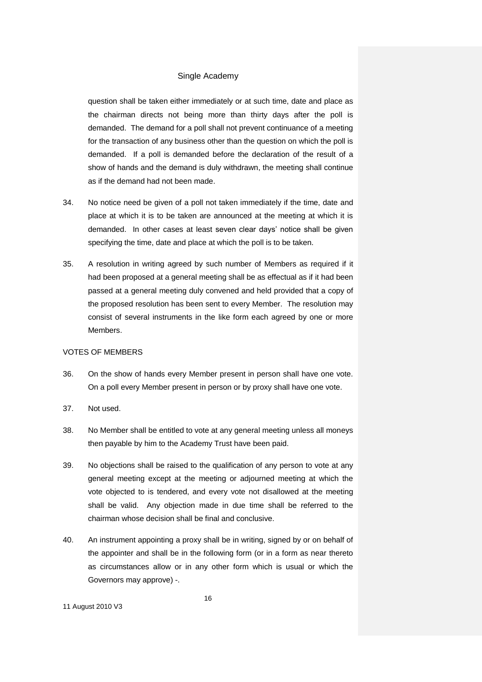question shall be taken either immediately or at such time, date and place as the chairman directs not being more than thirty days after the poll is demanded. The demand for a poll shall not prevent continuance of a meeting for the transaction of any business other than the question on which the poll is demanded. If a poll is demanded before the declaration of the result of a show of hands and the demand is duly withdrawn, the meeting shall continue as if the demand had not been made.

- 34. No notice need be given of a poll not taken immediately if the time, date and place at which it is to be taken are announced at the meeting at which it is demanded. In other cases at least seven clear days' notice shall be given specifying the time, date and place at which the poll is to be taken.
- 35. A resolution in writing agreed by such number of Members as required if it had been proposed at a general meeting shall be as effectual as if it had been passed at a general meeting duly convened and held provided that a copy of the proposed resolution has been sent to every Member. The resolution may consist of several instruments in the like form each agreed by one or more Members.

# VOTES OF MEMBERS

- 36. On the show of hands every Member present in person shall have one vote. On a poll every Member present in person or by proxy shall have one vote.
- 37. Not used.
- 38. No Member shall be entitled to vote at any general meeting unless all moneys then payable by him to the Academy Trust have been paid.
- 39. No objections shall be raised to the qualification of any person to vote at any general meeting except at the meeting or adjourned meeting at which the vote objected to is tendered, and every vote not disallowed at the meeting shall be valid. Any objection made in due time shall be referred to the chairman whose decision shall be final and conclusive.
- 40. An instrument appointing a proxy shall be in writing, signed by or on behalf of the appointer and shall be in the following form (or in a form as near thereto as circumstances allow or in any other form which is usual or which the Governors may approve) -.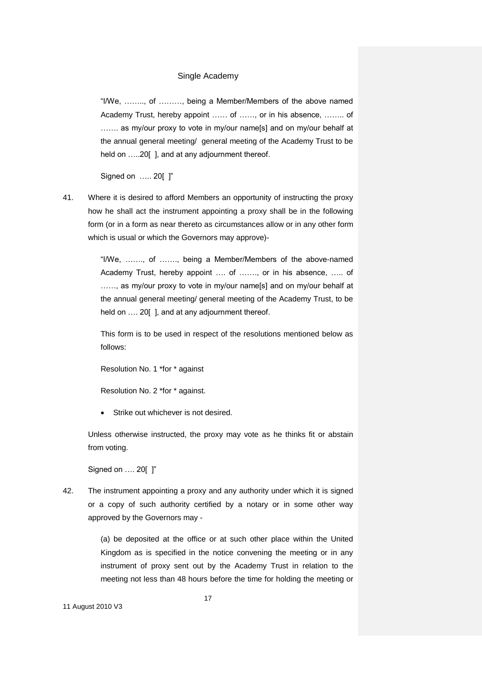"I/We, …….., of ………, being a Member/Members of the above named Academy Trust, hereby appoint …… of ……, or in his absence, …….. of ....... as my/our proxy to vote in my/our name[s] and on my/our behalf at the annual general meeting/ general meeting of the Academy Trust to be held on .....20[ ], and at any adjournment thereof.

Signed on ….. 20[ ]"

41. Where it is desired to afford Members an opportunity of instructing the proxy how he shall act the instrument appointing a proxy shall be in the following form (or in a form as near thereto as circumstances allow or in any other form which is usual or which the Governors may approve)-

> "I/We, ……., of ……., being a Member/Members of the above-named Academy Trust, hereby appoint …. of ……., or in his absence, ….. of ......, as my/our proxy to vote in my/our name[s] and on my/our behalf at the annual general meeting/ general meeting of the Academy Trust, to be held on .... 20[], and at any adjournment thereof.

> This form is to be used in respect of the resolutions mentioned below as follows:

Resolution No. 1 \*for \* against

Resolution No. 2 \*for \* against.

Strike out whichever is not desired.

Unless otherwise instructed, the proxy may vote as he thinks fit or abstain from voting.

Signed on …. 20[ ]"

42. The instrument appointing a proxy and any authority under which it is signed or a copy of such authority certified by a notary or in some other way approved by the Governors may -

> (a) be deposited at the office or at such other place within the United Kingdom as is specified in the notice convening the meeting or in any instrument of proxy sent out by the Academy Trust in relation to the meeting not less than 48 hours before the time for holding the meeting or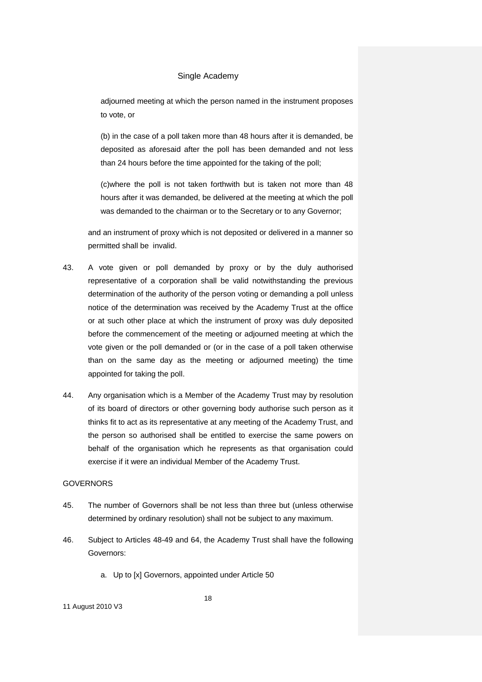adjourned meeting at which the person named in the instrument proposes to vote, or

(b) in the case of a poll taken more than 48 hours after it is demanded, be deposited as aforesaid after the poll has been demanded and not less than 24 hours before the time appointed for the taking of the poll;

(c)where the poll is not taken forthwith but is taken not more than 48 hours after it was demanded, be delivered at the meeting at which the poll was demanded to the chairman or to the Secretary or to any Governor;

and an instrument of proxy which is not deposited or delivered in a manner so permitted shall be invalid.

- 43. A vote given or poll demanded by proxy or by the duly authorised representative of a corporation shall be valid notwithstanding the previous determination of the authority of the person voting or demanding a poll unless notice of the determination was received by the Academy Trust at the office or at such other place at which the instrument of proxy was duly deposited before the commencement of the meeting or adjourned meeting at which the vote given or the poll demanded or (or in the case of a poll taken otherwise than on the same day as the meeting or adjourned meeting) the time appointed for taking the poll.
- 44. Any organisation which is a Member of the Academy Trust may by resolution of its board of directors or other governing body authorise such person as it thinks fit to act as its representative at any meeting of the Academy Trust, and the person so authorised shall be entitled to exercise the same powers on behalf of the organisation which he represents as that organisation could exercise if it were an individual Member of the Academy Trust.

### GOVERNORS

- 45. The number of Governors shall be not less than three but (unless otherwise determined by ordinary resolution) shall not be subject to any maximum.
- 46. Subject to Articles 48-49 and 64, the Academy Trust shall have the following Governors:
	- a. Up to [x] Governors, appointed under Article 50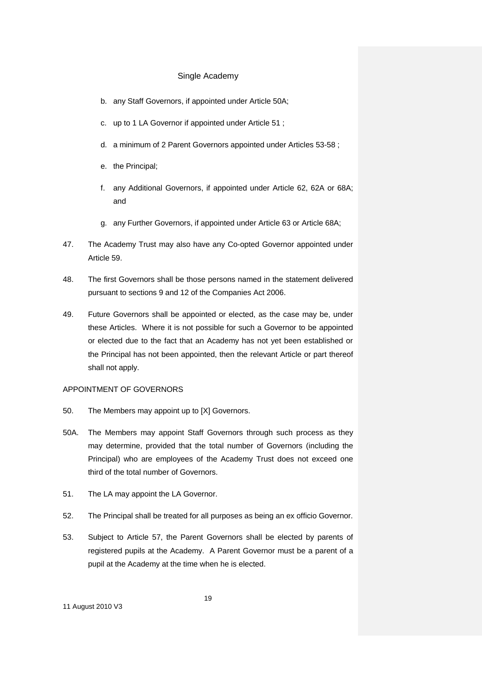- b. any Staff Governors, if appointed under Article 50A;
- c. up to 1 LA Governor if appointed under Article 51 ;
- d. a minimum of 2 Parent Governors appointed under Articles 53-58 ;
- e. the Principal;
- f. any Additional Governors, if appointed under Article 62, 62A or 68A; and
- g. any Further Governors, if appointed under Article 63 or Article 68A;
- 47. The Academy Trust may also have any Co-opted Governor appointed under Article 59.
- 48. The first Governors shall be those persons named in the statement delivered pursuant to sections 9 and 12 of the Companies Act 2006.
- 49. Future Governors shall be appointed or elected, as the case may be, under these Articles. Where it is not possible for such a Governor to be appointed or elected due to the fact that an Academy has not yet been established or the Principal has not been appointed, then the relevant Article or part thereof shall not apply.

#### APPOINTMENT OF GOVERNORS

- 50. The Members may appoint up to [X] Governors.
- 50A. The Members may appoint Staff Governors through such process as they may determine, provided that the total number of Governors (including the Principal) who are employees of the Academy Trust does not exceed one third of the total number of Governors.
- 51. The LA may appoint the LA Governor.
- 52. The Principal shall be treated for all purposes as being an ex officio Governor.
- 53. Subject to Article 57, the Parent Governors shall be elected by parents of registered pupils at the Academy. A Parent Governor must be a parent of a pupil at the Academy at the time when he is elected.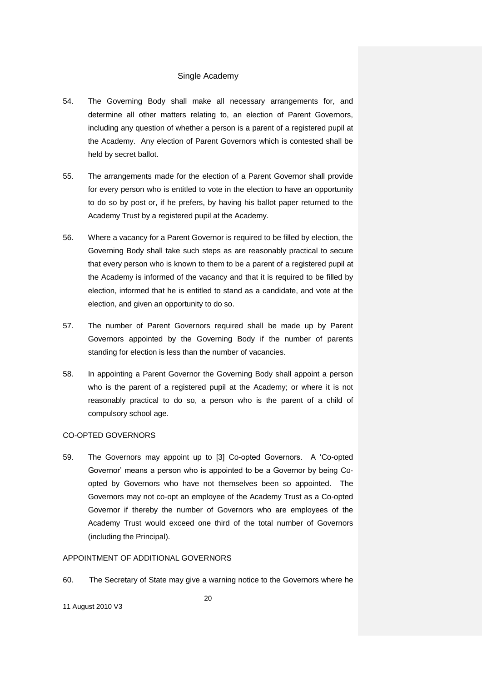- 54. The Governing Body shall make all necessary arrangements for, and determine all other matters relating to, an election of Parent Governors, including any question of whether a person is a parent of a registered pupil at the Academy. Any election of Parent Governors which is contested shall be held by secret ballot.
- 55. The arrangements made for the election of a Parent Governor shall provide for every person who is entitled to vote in the election to have an opportunity to do so by post or, if he prefers, by having his ballot paper returned to the Academy Trust by a registered pupil at the Academy.
- 56. Where a vacancy for a Parent Governor is required to be filled by election, the Governing Body shall take such steps as are reasonably practical to secure that every person who is known to them to be a parent of a registered pupil at the Academy is informed of the vacancy and that it is required to be filled by election, informed that he is entitled to stand as a candidate, and vote at the election, and given an opportunity to do so.
- 57. The number of Parent Governors required shall be made up by Parent Governors appointed by the Governing Body if the number of parents standing for election is less than the number of vacancies.
- 58. In appointing a Parent Governor the Governing Body shall appoint a person who is the parent of a registered pupil at the Academy; or where it is not reasonably practical to do so, a person who is the parent of a child of compulsory school age.

### CO-OPTED GOVERNORS

59. The Governors may appoint up to [3] Co-opted Governors. A 'Co-opted Governor' means a person who is appointed to be a Governor by being Coopted by Governors who have not themselves been so appointed. The Governors may not co-opt an employee of the Academy Trust as a Co-opted Governor if thereby the number of Governors who are employees of the Academy Trust would exceed one third of the total number of Governors (including the Principal).

### APPOINTMENT OF ADDITIONAL GOVERNORS

60. The Secretary of State may give a warning notice to the Governors where he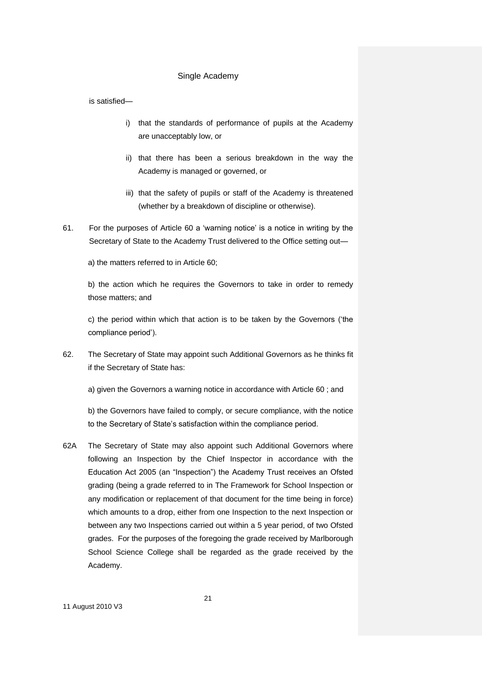is satisfied—

- i) that the standards of performance of pupils at the Academy are unacceptably low, or
- ii) that there has been a serious breakdown in the way the Academy is managed or governed, or
- iii) that the safety of pupils or staff of the Academy is threatened (whether by a breakdown of discipline or otherwise).
- 61. For the purposes of Article 60 a 'warning notice' is a notice in writing by the Secretary of State to the Academy Trust delivered to the Office setting out—

a) the matters referred to in Article 60;

b) the action which he requires the Governors to take in order to remedy those matters; and

c) the period within which that action is to be taken by the Governors ('the compliance period').

62. The Secretary of State may appoint such Additional Governors as he thinks fit if the Secretary of State has:

a) given the Governors a warning notice in accordance with Article 60 ; and

b) the Governors have failed to comply, or secure compliance, with the notice to the Secretary of State's satisfaction within the compliance period.

62A The Secretary of State may also appoint such Additional Governors where following an Inspection by the Chief Inspector in accordance with the Education Act 2005 (an "Inspection") the Academy Trust receives an Ofsted grading (being a grade referred to in The Framework for School Inspection or any modification or replacement of that document for the time being in force) which amounts to a drop, either from one Inspection to the next Inspection or between any two Inspections carried out within a 5 year period, of two Ofsted grades. For the purposes of the foregoing the grade received by Marlborough School Science College shall be regarded as the grade received by the Academy.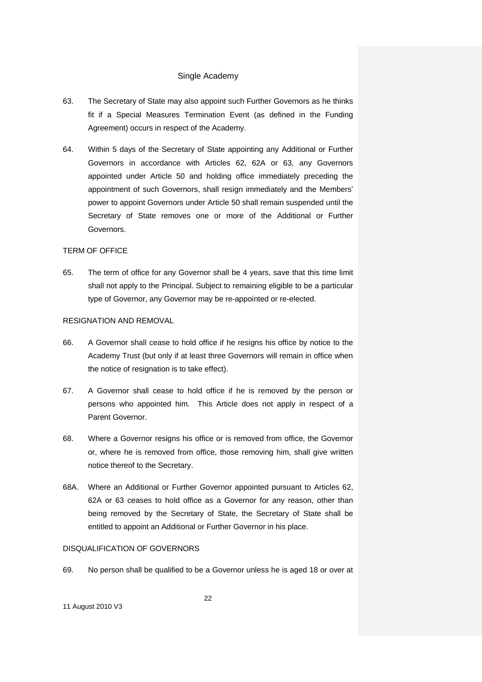- 63. The Secretary of State may also appoint such Further Governors as he thinks fit if a Special Measures Termination Event (as defined in the Funding Agreement) occurs in respect of the Academy.
- 64. Within 5 days of the Secretary of State appointing any Additional or Further Governors in accordance with Articles 62, 62A or 63, any Governors appointed under Article 50 and holding office immediately preceding the appointment of such Governors, shall resign immediately and the Members' power to appoint Governors under Article 50 shall remain suspended until the Secretary of State removes one or more of the Additional or Further Governors.

#### TERM OF OFFICE

65. The term of office for any Governor shall be 4 years, save that this time limit shall not apply to the Principal. Subject to remaining eligible to be a particular type of Governor, any Governor may be re-appointed or re-elected.

#### RESIGNATION AND REMOVAL

- 66. A Governor shall cease to hold office if he resigns his office by notice to the Academy Trust (but only if at least three Governors will remain in office when the notice of resignation is to take effect).
- 67. A Governor shall cease to hold office if he is removed by the person or persons who appointed him. This Article does not apply in respect of a Parent Governor.
- 68. Where a Governor resigns his office or is removed from office, the Governor or, where he is removed from office, those removing him, shall give written notice thereof to the Secretary.
- 68A. Where an Additional or Further Governor appointed pursuant to Articles 62, 62A or 63 ceases to hold office as a Governor for any reason, other than being removed by the Secretary of State, the Secretary of State shall be entitled to appoint an Additional or Further Governor in his place.

# DISQUALIFICATION OF GOVERNORS

69. No person shall be qualified to be a Governor unless he is aged 18 or over at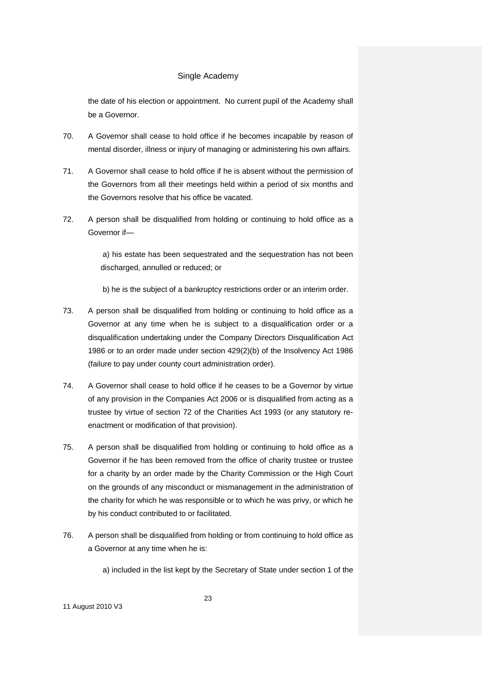the date of his election or appointment. No current pupil of the Academy shall be a Governor.

- 70. A Governor shall cease to hold office if he becomes incapable by reason of mental disorder, illness or injury of managing or administering his own affairs.
- 71. A Governor shall cease to hold office if he is absent without the permission of the Governors from all their meetings held within a period of six months and the Governors resolve that his office be vacated.
- 72. A person shall be disqualified from holding or continuing to hold office as a Governor if—

a) his estate has been sequestrated and the sequestration has not been discharged, annulled or reduced; or

b) he is the subject of a bankruptcy restrictions order or an interim order.

- 73. A person shall be disqualified from holding or continuing to hold office as a Governor at any time when he is subject to a disqualification order or a disqualification undertaking under the Company Directors Disqualification Act 1986 or to an order made under section 429(2)(b) of the Insolvency Act 1986 (failure to pay under county court administration order).
- 74. A Governor shall cease to hold office if he ceases to be a Governor by virtue of any provision in the Companies Act 2006 or is disqualified from acting as a trustee by virtue of section 72 of the Charities Act 1993 (or any statutory reenactment or modification of that provision).
- 75. A person shall be disqualified from holding or continuing to hold office as a Governor if he has been removed from the office of charity trustee or trustee for a charity by an order made by the Charity Commission or the High Court on the grounds of any misconduct or mismanagement in the administration of the charity for which he was responsible or to which he was privy, or which he by his conduct contributed to or facilitated.
- 76. A person shall be disqualified from holding or from continuing to hold office as a Governor at any time when he is:

a) included in the list kept by the Secretary of State under section 1 of the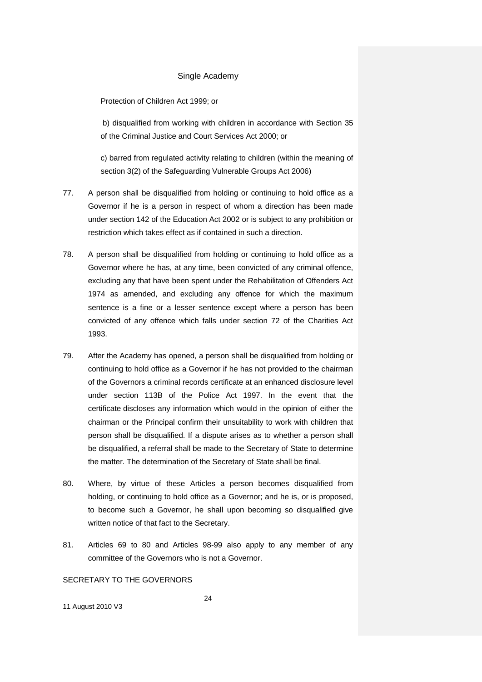Protection of Children Act 1999; or

b) disqualified from working with children in accordance with Section 35 of the Criminal Justice and Court Services Act 2000; or

c) barred from regulated activity relating to children (within the meaning of section 3(2) of the Safeguarding Vulnerable Groups Act 2006)

- 77. A person shall be disqualified from holding or continuing to hold office as a Governor if he is a person in respect of whom a direction has been made under section 142 of the Education Act 2002 or is subject to any prohibition or restriction which takes effect as if contained in such a direction.
- 78. A person shall be disqualified from holding or continuing to hold office as a Governor where he has, at any time, been convicted of any criminal offence, excluding any that have been spent under the Rehabilitation of Offenders Act 1974 as amended, and excluding any offence for which the maximum sentence is a fine or a lesser sentence except where a person has been convicted of any offence which falls under section 72 of the Charities Act 1993.
- 79. After the Academy has opened, a person shall be disqualified from holding or continuing to hold office as a Governor if he has not provided to the chairman of the Governors a criminal records certificate at an enhanced disclosure level under section 113B of the Police Act 1997. In the event that the certificate discloses any information which would in the opinion of either the chairman or the Principal confirm their unsuitability to work with children that person shall be disqualified. If a dispute arises as to whether a person shall be disqualified, a referral shall be made to the Secretary of State to determine the matter. The determination of the Secretary of State shall be final.
- 80. Where, by virtue of these Articles a person becomes disqualified from holding, or continuing to hold office as a Governor; and he is, or is proposed, to become such a Governor, he shall upon becoming so disqualified give written notice of that fact to the Secretary.
- 81. Articles 69 to 80 and Articles 98-99 also apply to any member of any committee of the Governors who is not a Governor.

### SECRETARY TO THE GOVERNORS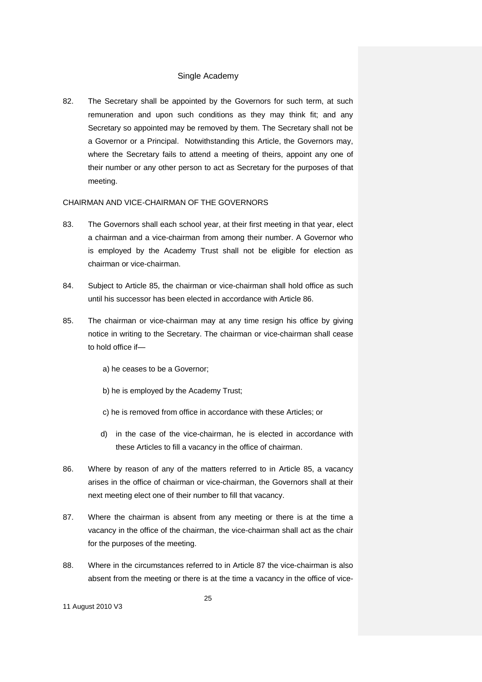82. The Secretary shall be appointed by the Governors for such term, at such remuneration and upon such conditions as they may think fit; and any Secretary so appointed may be removed by them. The Secretary shall not be a Governor or a Principal. Notwithstanding this Article, the Governors may, where the Secretary fails to attend a meeting of theirs, appoint any one of their number or any other person to act as Secretary for the purposes of that meeting.

#### CHAIRMAN AND VICE-CHAIRMAN OF THE GOVERNORS

- 83. The Governors shall each school year, at their first meeting in that year, elect a chairman and a vice-chairman from among their number. A Governor who is employed by the Academy Trust shall not be eligible for election as chairman or vice-chairman.
- 84. Subject to Article 85, the chairman or vice-chairman shall hold office as such until his successor has been elected in accordance with Article 86.
- 85. The chairman or vice-chairman may at any time resign his office by giving notice in writing to the Secretary. The chairman or vice-chairman shall cease to hold office if
	- a) he ceases to be a Governor;
	- b) he is employed by the Academy Trust;
	- c) he is removed from office in accordance with these Articles; or
	- d) in the case of the vice-chairman, he is elected in accordance with these Articles to fill a vacancy in the office of chairman.
- 86. Where by reason of any of the matters referred to in Article 85, a vacancy arises in the office of chairman or vice-chairman, the Governors shall at their next meeting elect one of their number to fill that vacancy.
- 87. Where the chairman is absent from any meeting or there is at the time a vacancy in the office of the chairman, the vice-chairman shall act as the chair for the purposes of the meeting.
- 88. Where in the circumstances referred to in Article 87 the vice-chairman is also absent from the meeting or there is at the time a vacancy in the office of vice-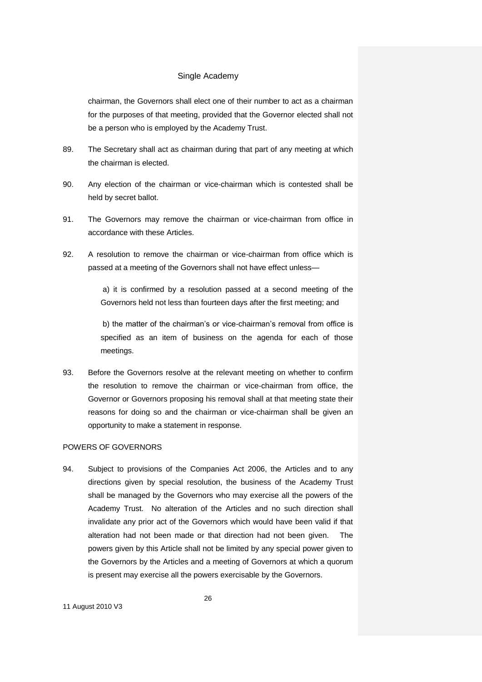chairman, the Governors shall elect one of their number to act as a chairman for the purposes of that meeting, provided that the Governor elected shall not be a person who is employed by the Academy Trust.

- 89. The Secretary shall act as chairman during that part of any meeting at which the chairman is elected.
- 90. Any election of the chairman or vice-chairman which is contested shall be held by secret ballot.
- 91. The Governors may remove the chairman or vice-chairman from office in accordance with these Articles.
- 92. A resolution to remove the chairman or vice-chairman from office which is passed at a meeting of the Governors shall not have effect unless—

a) it is confirmed by a resolution passed at a second meeting of the Governors held not less than fourteen days after the first meeting; and

b) the matter of the chairman's or vice-chairman's removal from office is specified as an item of business on the agenda for each of those meetings.

93. Before the Governors resolve at the relevant meeting on whether to confirm the resolution to remove the chairman or vice-chairman from office, the Governor or Governors proposing his removal shall at that meeting state their reasons for doing so and the chairman or vice-chairman shall be given an opportunity to make a statement in response.

#### POWERS OF GOVERNORS

94. Subject to provisions of the Companies Act 2006, the Articles and to any directions given by special resolution, the business of the Academy Trust shall be managed by the Governors who may exercise all the powers of the Academy Trust. No alteration of the Articles and no such direction shall invalidate any prior act of the Governors which would have been valid if that alteration had not been made or that direction had not been given. The powers given by this Article shall not be limited by any special power given to the Governors by the Articles and a meeting of Governors at which a quorum is present may exercise all the powers exercisable by the Governors.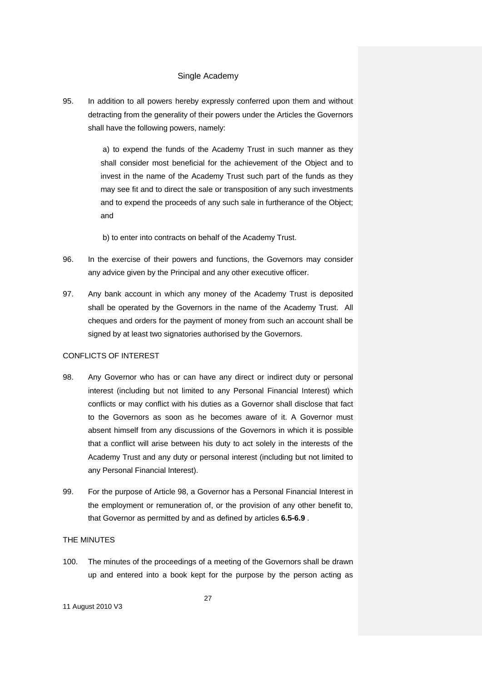95. In addition to all powers hereby expressly conferred upon them and without detracting from the generality of their powers under the Articles the Governors shall have the following powers, namely:

> a) to expend the funds of the Academy Trust in such manner as they shall consider most beneficial for the achievement of the Object and to invest in the name of the Academy Trust such part of the funds as they may see fit and to direct the sale or transposition of any such investments and to expend the proceeds of any such sale in furtherance of the Object; and

b) to enter into contracts on behalf of the Academy Trust.

- 96. In the exercise of their powers and functions, the Governors may consider any advice given by the Principal and any other executive officer.
- 97. Any bank account in which any money of the Academy Trust is deposited shall be operated by the Governors in the name of the Academy Trust. All cheques and orders for the payment of money from such an account shall be signed by at least two signatories authorised by the Governors.

### CONFLICTS OF INTEREST

- 98. Any Governor who has or can have any direct or indirect duty or personal interest (including but not limited to any Personal Financial Interest) which conflicts or may conflict with his duties as a Governor shall disclose that fact to the Governors as soon as he becomes aware of it. A Governor must absent himself from any discussions of the Governors in which it is possible that a conflict will arise between his duty to act solely in the interests of the Academy Trust and any duty or personal interest (including but not limited to any Personal Financial Interest).
- 99. For the purpose of Article 98, a Governor has a Personal Financial Interest in the employment or remuneration of, or the provision of any other benefit to, that Governor as permitted by and as defined by articles **6.5-6.9** .

#### THE MINUTES

100. The minutes of the proceedings of a meeting of the Governors shall be drawn up and entered into a book kept for the purpose by the person acting as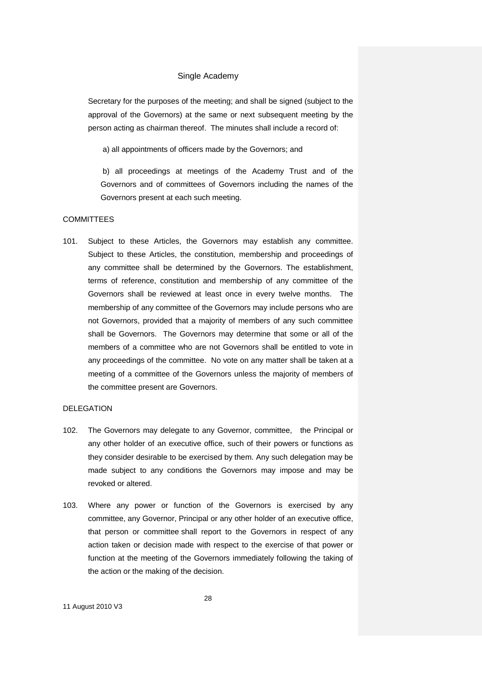Secretary for the purposes of the meeting; and shall be signed (subject to the approval of the Governors) at the same or next subsequent meeting by the person acting as chairman thereof. The minutes shall include a record of:

a) all appointments of officers made by the Governors; and

b) all proceedings at meetings of the Academy Trust and of the Governors and of committees of Governors including the names of the Governors present at each such meeting.

# **COMMITTEES**

101. Subject to these Articles, the Governors may establish any committee. Subject to these Articles, the constitution, membership and proceedings of any committee shall be determined by the Governors. The establishment, terms of reference, constitution and membership of any committee of the Governors shall be reviewed at least once in every twelve months. The membership of any committee of the Governors may include persons who are not Governors, provided that a majority of members of any such committee shall be Governors. The Governors may determine that some or all of the members of a committee who are not Governors shall be entitled to vote in any proceedings of the committee. No vote on any matter shall be taken at a meeting of a committee of the Governors unless the majority of members of the committee present are Governors.

#### DELEGATION

- 102. The Governors may delegate to any Governor, committee, the Principal or any other holder of an executive office, such of their powers or functions as they consider desirable to be exercised by them. Any such delegation may be made subject to any conditions the Governors may impose and may be revoked or altered.
- 103. Where any power or function of the Governors is exercised by any committee, any Governor, Principal or any other holder of an executive office, that person or committee shall report to the Governors in respect of any action taken or decision made with respect to the exercise of that power or function at the meeting of the Governors immediately following the taking of the action or the making of the decision.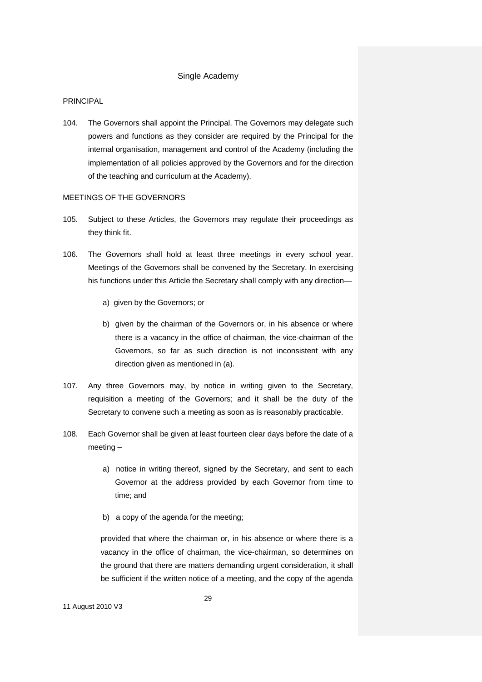#### PRINCIPAL

104. The Governors shall appoint the Principal. The Governors may delegate such powers and functions as they consider are required by the Principal for the internal organisation, management and control of the Academy (including the implementation of all policies approved by the Governors and for the direction of the teaching and curriculum at the Academy).

### MEETINGS OF THE GOVERNORS

- 105. Subject to these Articles, the Governors may regulate their proceedings as they think fit.
- 106. The Governors shall hold at least three meetings in every school year. Meetings of the Governors shall be convened by the Secretary. In exercising his functions under this Article the Secretary shall comply with any direction
	- a) given by the Governors; or
	- b) given by the chairman of the Governors or, in his absence or where there is a vacancy in the office of chairman, the vice-chairman of the Governors, so far as such direction is not inconsistent with any direction given as mentioned in (a).
- 107. Any three Governors may, by notice in writing given to the Secretary, requisition a meeting of the Governors; and it shall be the duty of the Secretary to convene such a meeting as soon as is reasonably practicable.
- 108. Each Governor shall be given at least fourteen clear days before the date of a meeting –
	- a) notice in writing thereof, signed by the Secretary, and sent to each Governor at the address provided by each Governor from time to time; and
	- b) a copy of the agenda for the meeting;

provided that where the chairman or, in his absence or where there is a vacancy in the office of chairman, the vice-chairman, so determines on the ground that there are matters demanding urgent consideration, it shall be sufficient if the written notice of a meeting, and the copy of the agenda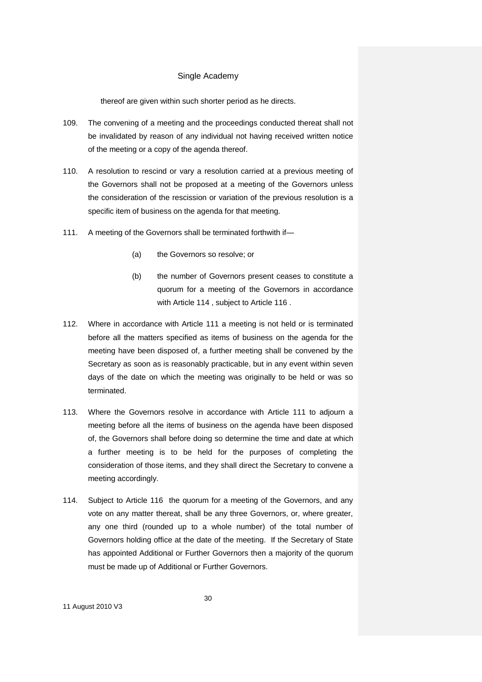thereof are given within such shorter period as he directs.

- 109. The convening of a meeting and the proceedings conducted thereat shall not be invalidated by reason of any individual not having received written notice of the meeting or a copy of the agenda thereof.
- 110. A resolution to rescind or vary a resolution carried at a previous meeting of the Governors shall not be proposed at a meeting of the Governors unless the consideration of the rescission or variation of the previous resolution is a specific item of business on the agenda for that meeting.
- 111. A meeting of the Governors shall be terminated forthwith if—
	- (a) the Governors so resolve; or
	- (b) the number of Governors present ceases to constitute a quorum for a meeting of the Governors in accordance with Article 114 , subject to Article 116 .
- 112. Where in accordance with Article 111 a meeting is not held or is terminated before all the matters specified as items of business on the agenda for the meeting have been disposed of, a further meeting shall be convened by the Secretary as soon as is reasonably practicable, but in any event within seven days of the date on which the meeting was originally to be held or was so terminated.
- 113. Where the Governors resolve in accordance with Article 111 to adjourn a meeting before all the items of business on the agenda have been disposed of, the Governors shall before doing so determine the time and date at which a further meeting is to be held for the purposes of completing the consideration of those items, and they shall direct the Secretary to convene a meeting accordingly.
- 114. Subject to Article 116 the quorum for a meeting of the Governors, and any vote on any matter thereat, shall be any three Governors, or, where greater, any one third (rounded up to a whole number) of the total number of Governors holding office at the date of the meeting. If the Secretary of State has appointed Additional or Further Governors then a majority of the quorum must be made up of Additional or Further Governors.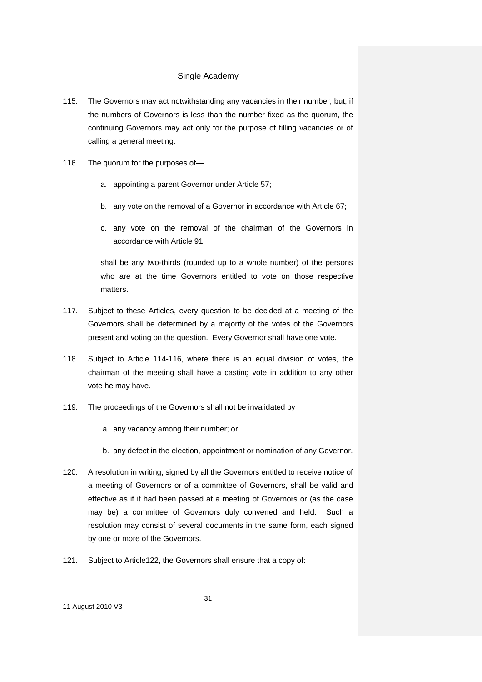- 115. The Governors may act notwithstanding any vacancies in their number, but, if the numbers of Governors is less than the number fixed as the quorum, the continuing Governors may act only for the purpose of filling vacancies or of calling a general meeting.
- 116. The quorum for the purposes of
	- a. appointing a parent Governor under Article 57;
	- b. any vote on the removal of a Governor in accordance with Article 67;
	- c. any vote on the removal of the chairman of the Governors in accordance with Article 91;

shall be any two-thirds (rounded up to a whole number) of the persons who are at the time Governors entitled to vote on those respective matters.

- 117. Subject to these Articles, every question to be decided at a meeting of the Governors shall be determined by a majority of the votes of the Governors present and voting on the question. Every Governor shall have one vote.
- 118. Subject to Article 114-116, where there is an equal division of votes, the chairman of the meeting shall have a casting vote in addition to any other vote he may have.
- 119. The proceedings of the Governors shall not be invalidated by
	- a. any vacancy among their number; or
	- b. any defect in the election, appointment or nomination of any Governor.
- 120. A resolution in writing, signed by all the Governors entitled to receive notice of a meeting of Governors or of a committee of Governors, shall be valid and effective as if it had been passed at a meeting of Governors or (as the case may be) a committee of Governors duly convened and held. Such a resolution may consist of several documents in the same form, each signed by one or more of the Governors.
- 121. Subject to Article122, the Governors shall ensure that a copy of: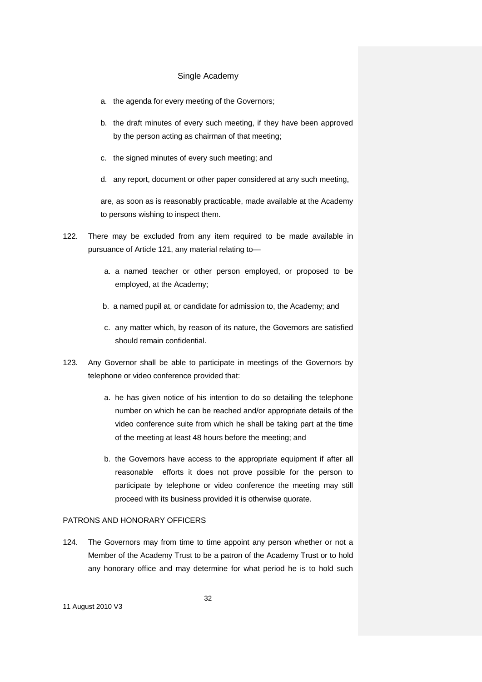- a. the agenda for every meeting of the Governors;
- b. the draft minutes of every such meeting, if they have been approved by the person acting as chairman of that meeting;
- c. the signed minutes of every such meeting; and
- d. any report, document or other paper considered at any such meeting,

are, as soon as is reasonably practicable, made available at the Academy to persons wishing to inspect them.

- 122. There may be excluded from any item required to be made available in pursuance of Article 121, any material relating to
	- a. a named teacher or other person employed, or proposed to be employed, at the Academy;
	- b. a named pupil at, or candidate for admission to, the Academy; and
	- c. any matter which, by reason of its nature, the Governors are satisfied should remain confidential.
- 123. Any Governor shall be able to participate in meetings of the Governors by telephone or video conference provided that:
	- a. he has given notice of his intention to do so detailing the telephone number on which he can be reached and/or appropriate details of the video conference suite from which he shall be taking part at the time of the meeting at least 48 hours before the meeting; and
	- b. the Governors have access to the appropriate equipment if after all reasonable efforts it does not prove possible for the person to participate by telephone or video conference the meeting may still proceed with its business provided it is otherwise quorate.

### PATRONS AND HONORARY OFFICERS

124. The Governors may from time to time appoint any person whether or not a Member of the Academy Trust to be a patron of the Academy Trust or to hold any honorary office and may determine for what period he is to hold such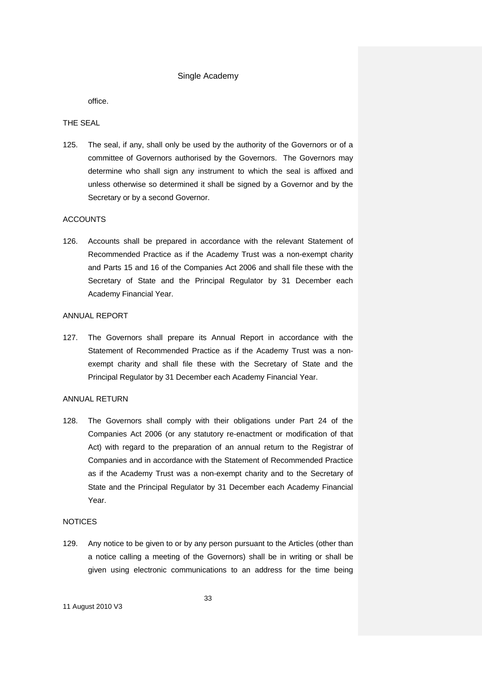office.

# THE SEAL

125. The seal, if any, shall only be used by the authority of the Governors or of a committee of Governors authorised by the Governors. The Governors may determine who shall sign any instrument to which the seal is affixed and unless otherwise so determined it shall be signed by a Governor and by the Secretary or by a second Governor.

# ACCOUNTS

126. Accounts shall be prepared in accordance with the relevant Statement of Recommended Practice as if the Academy Trust was a non-exempt charity and Parts 15 and 16 of the Companies Act 2006 and shall file these with the Secretary of State and the Principal Regulator by 31 December each Academy Financial Year.

# ANNUAL REPORT

127. The Governors shall prepare its Annual Report in accordance with the Statement of Recommended Practice as if the Academy Trust was a nonexempt charity and shall file these with the Secretary of State and the Principal Regulator by 31 December each Academy Financial Year.

#### ANNUAL RETURN

128. The Governors shall comply with their obligations under Part 24 of the Companies Act 2006 (or any statutory re-enactment or modification of that Act) with regard to the preparation of an annual return to the Registrar of Companies and in accordance with the Statement of Recommended Practice as if the Academy Trust was a non-exempt charity and to the Secretary of State and the Principal Regulator by 31 December each Academy Financial Year.

# **NOTICES**

129. Any notice to be given to or by any person pursuant to the Articles (other than a notice calling a meeting of the Governors) shall be in writing or shall be given using electronic communications to an address for the time being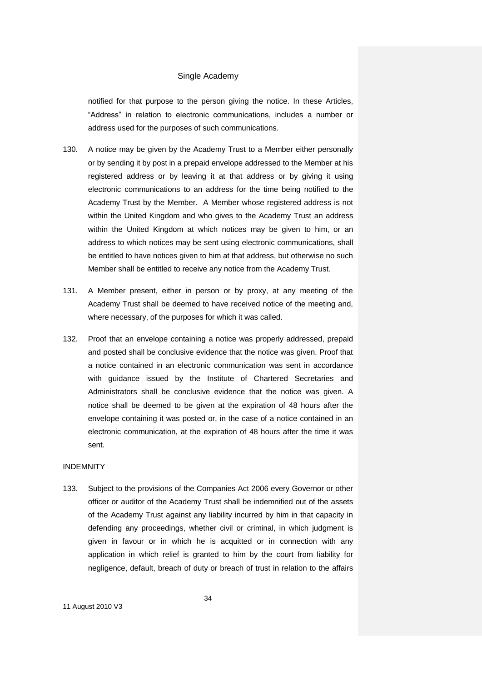notified for that purpose to the person giving the notice. In these Articles, "Address" in relation to electronic communications, includes a number or address used for the purposes of such communications.

- 130. A notice may be given by the Academy Trust to a Member either personally or by sending it by post in a prepaid envelope addressed to the Member at his registered address or by leaving it at that address or by giving it using electronic communications to an address for the time being notified to the Academy Trust by the Member. A Member whose registered address is not within the United Kingdom and who gives to the Academy Trust an address within the United Kingdom at which notices may be given to him, or an address to which notices may be sent using electronic communications, shall be entitled to have notices given to him at that address, but otherwise no such Member shall be entitled to receive any notice from the Academy Trust.
- 131. A Member present, either in person or by proxy, at any meeting of the Academy Trust shall be deemed to have received notice of the meeting and, where necessary, of the purposes for which it was called.
- 132. Proof that an envelope containing a notice was properly addressed, prepaid and posted shall be conclusive evidence that the notice was given. Proof that a notice contained in an electronic communication was sent in accordance with guidance issued by the Institute of Chartered Secretaries and Administrators shall be conclusive evidence that the notice was given. A notice shall be deemed to be given at the expiration of 48 hours after the envelope containing it was posted or, in the case of a notice contained in an electronic communication, at the expiration of 48 hours after the time it was sent.

# INDEMNITY

133. Subject to the provisions of the Companies Act 2006 every Governor or other officer or auditor of the Academy Trust shall be indemnified out of the assets of the Academy Trust against any liability incurred by him in that capacity in defending any proceedings, whether civil or criminal, in which judgment is given in favour or in which he is acquitted or in connection with any application in which relief is granted to him by the court from liability for negligence, default, breach of duty or breach of trust in relation to the affairs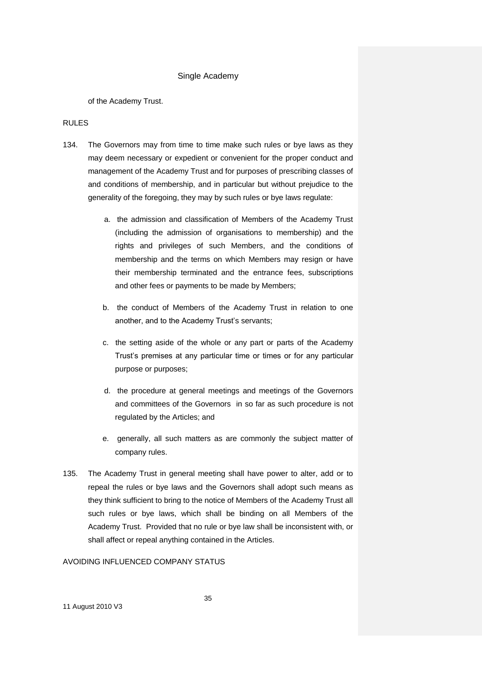of the Academy Trust.

### RULES

- 134. The Governors may from time to time make such rules or bye laws as they may deem necessary or expedient or convenient for the proper conduct and management of the Academy Trust and for purposes of prescribing classes of and conditions of membership, and in particular but without prejudice to the generality of the foregoing, they may by such rules or bye laws regulate:
	- a. the admission and classification of Members of the Academy Trust (including the admission of organisations to membership) and the rights and privileges of such Members, and the conditions of membership and the terms on which Members may resign or have their membership terminated and the entrance fees, subscriptions and other fees or payments to be made by Members;
	- b. the conduct of Members of the Academy Trust in relation to one another, and to the Academy Trust's servants;
	- c. the setting aside of the whole or any part or parts of the Academy Trust's premises at any particular time or times or for any particular purpose or purposes;
	- d. the procedure at general meetings and meetings of the Governors and committees of the Governors in so far as such procedure is not regulated by the Articles; and
	- e. generally, all such matters as are commonly the subject matter of company rules.
- 135. The Academy Trust in general meeting shall have power to alter, add or to repeal the rules or bye laws and the Governors shall adopt such means as they think sufficient to bring to the notice of Members of the Academy Trust all such rules or bye laws, which shall be binding on all Members of the Academy Trust. Provided that no rule or bye law shall be inconsistent with, or shall affect or repeal anything contained in the Articles.

# AVOIDING INFLUENCED COMPANY STATUS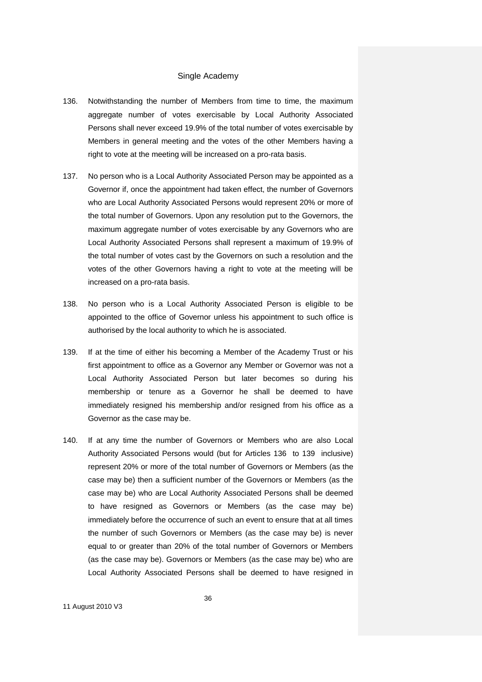- 136. Notwithstanding the number of Members from time to time, the maximum aggregate number of votes exercisable by Local Authority Associated Persons shall never exceed 19.9% of the total number of votes exercisable by Members in general meeting and the votes of the other Members having a right to vote at the meeting will be increased on a pro-rata basis.
- 137. No person who is a Local Authority Associated Person may be appointed as a Governor if, once the appointment had taken effect, the number of Governors who are Local Authority Associated Persons would represent 20% or more of the total number of Governors. Upon any resolution put to the Governors, the maximum aggregate number of votes exercisable by any Governors who are Local Authority Associated Persons shall represent a maximum of 19.9% of the total number of votes cast by the Governors on such a resolution and the votes of the other Governors having a right to vote at the meeting will be increased on a pro-rata basis.
- 138. No person who is a Local Authority Associated Person is eligible to be appointed to the office of Governor unless his appointment to such office is authorised by the local authority to which he is associated.
- 139. If at the time of either his becoming a Member of the Academy Trust or his first appointment to office as a Governor any Member or Governor was not a Local Authority Associated Person but later becomes so during his membership or tenure as a Governor he shall be deemed to have immediately resigned his membership and/or resigned from his office as a Governor as the case may be.
- 140. If at any time the number of Governors or Members who are also Local Authority Associated Persons would (but for Articles 136 to 139 inclusive) represent 20% or more of the total number of Governors or Members (as the case may be) then a sufficient number of the Governors or Members (as the case may be) who are Local Authority Associated Persons shall be deemed to have resigned as Governors or Members (as the case may be) immediately before the occurrence of such an event to ensure that at all times the number of such Governors or Members (as the case may be) is never equal to or greater than 20% of the total number of Governors or Members (as the case may be). Governors or Members (as the case may be) who are Local Authority Associated Persons shall be deemed to have resigned in